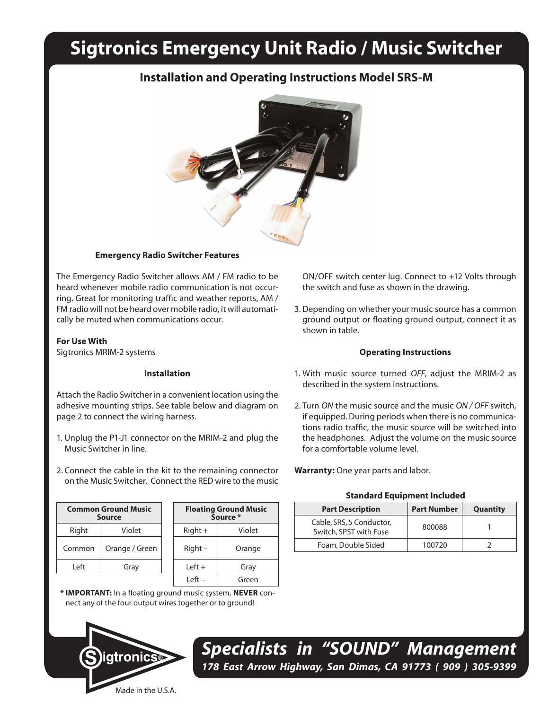# **Sigtronics Emergency Unit Radio / Music Switcher**

# **Installation and Operating Instructions Model SRS-M**



# **Emergency Radio Switcher Features**

The Emergency Radio Switcher allows AM / FM radio to be heard whenever mobile radio communication is not occurring. Great for monitoring traffic and weather reports, AM / FM radio will not be heard over mobile radio, it will automatically be muted when communications occur.

# **For Use With**

Sigtronics MRIM-2 systems

### **Installation**

Attach the Radio Switcher in a convenient location using the adhesive mounting strips. See table below and diagram on page 2 to connect the wiring harness.

- 1. Unplug the P1-J1 connector on the MRIM-2 and plug the Music Switcher in line.
- 2. Connect the cable in the kit to the remaining connector on the Music Switcher. Connect the RED wire to the music

| <b>Common Ground Music</b><br><b>Source</b> |                | <b>Floating Ground Mus</b><br>Source * |        |
|---------------------------------------------|----------------|----------------------------------------|--------|
| Right                                       | Violet         | $Right +$                              | Violet |
| Common                                      | Orange / Green | $Right -$                              | Orange |
| l eft                                       | Gray           | $left +$                               | Gray   |
|                                             |                |                                        |        |

| <b>Floating Ground Music</b><br>Source * |        |  |  |  |
|------------------------------------------|--------|--|--|--|
| $Right +$                                | Violet |  |  |  |
| Right -                                  | Orange |  |  |  |
| Left +                                   | Gray   |  |  |  |
| l eft –                                  | Green  |  |  |  |
|                                          |        |  |  |  |

**\* IMPORTANT:** In a floating ground music system, **NEVER** connect any of the four output wires together or to ground!



ON/OFF switch center lug. Connect to +12 Volts through the switch and fuse as shown in the drawing.

3. Depending on whether your music source has a common ground output or floating ground output, connect it as shown in table.

#### **Operating Instructions**

- 1. With music source turned *OFF*, adjust the MRIM-2 as described in the system instructions.
- 2. Turn *ON* the music source and the music *ON / OFF* switch, if equipped. During periods when there is no communications radio traffic, the music source will be switched into the headphones. Adjust the volume on the music source for a comfortable volume level.

**Warranty:** One year parts and labor.

### **Standard Equipment Included**

| <b>Part Description</b>                            | <b>Part Number</b> | <b>Quantity</b> |
|----------------------------------------------------|--------------------|-----------------|
| Cable, SRS, 5 Conductor,<br>Switch, SPST with Fuse | 800088             |                 |
| Foam, Double Sided                                 | 100720             |                 |